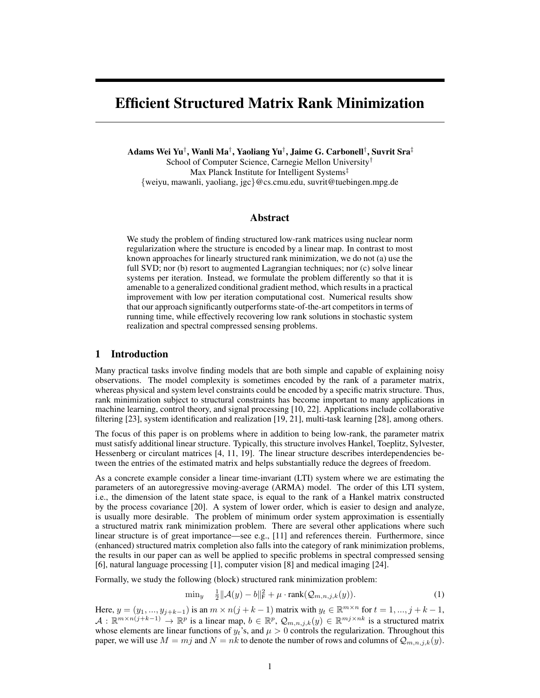# Efficient Structured Matrix Rank Minimization

Adams Wei Yu† , Wanli Ma† , Yaoliang Yu† , Jaime G. Carbonell† , Suvrit Sra‡ School of Computer Science, Carnegie Mellon University† Max Planck Institute for Intelligent Systems<sup>‡</sup> {weiyu, mawanli, yaoliang, jgc}@cs.cmu.edu, suvrit@tuebingen.mpg.de

# Abstract

We study the problem of finding structured low-rank matrices using nuclear norm regularization where the structure is encoded by a linear map. In contrast to most known approaches for linearly structured rank minimization, we do not (a) use the full SVD; nor (b) resort to augmented Lagrangian techniques; nor (c) solve linear systems per iteration. Instead, we formulate the problem differently so that it is amenable to a generalized conditional gradient method, which results in a practical improvement with low per iteration computational cost. Numerical results show that our approach significantly outperforms state-of-the-art competitors in terms of running time, while effectively recovering low rank solutions in stochastic system realization and spectral compressed sensing problems.

# 1 Introduction

Many practical tasks involve finding models that are both simple and capable of explaining noisy observations. The model complexity is sometimes encoded by the rank of a parameter matrix, whereas physical and system level constraints could be encoded by a specific matrix structure. Thus, rank minimization subject to structural constraints has become important to many applications in machine learning, control theory, and signal processing [\[10,](#page-8-0) [22\]](#page-8-1). Applications include collaborative filtering [\[23\]](#page-8-2), system identification and realization [\[19,](#page-8-3) [21\]](#page-8-4), multi-task learning [\[28\]](#page-8-5), among others.

The focus of this paper is on problems where in addition to being low-rank, the parameter matrix must satisfy additional linear structure. Typically, this structure involves Hankel, Toeplitz, Sylvester, Hessenberg or circulant matrices [\[4,](#page-8-6) [11,](#page-8-7) [19\]](#page-8-3). The linear structure describes interdependencies between the entries of the estimated matrix and helps substantially reduce the degrees of freedom.

As a concrete example consider a linear time-invariant (LTI) system where we are estimating the parameters of an autoregressive moving-average (ARMA) model. The order of this LTI system, i.e., the dimension of the latent state space, is equal to the rank of a Hankel matrix constructed by the process covariance [\[20\]](#page-8-8). A system of lower order, which is easier to design and analyze, is usually more desirable. The problem of minimum order system approximation is essentially a structured matrix rank minimization problem. There are several other applications where such linear structure is of great importance—see e.g., [\[11\]](#page-8-7) and references therein. Furthermore, since (enhanced) structured matrix completion also falls into the category of rank minimization problems, the results in our paper can as well be applied to specific problems in spectral compressed sensing [\[6\]](#page-8-9), natural language processing [\[1\]](#page-8-10), computer vision [\[8\]](#page-8-11) and medical imaging [\[24\]](#page-8-12).

Formally, we study the following (block) structured rank minimization problem:

<span id="page-0-0"></span>
$$
\min_{y} \quad \frac{1}{2} ||\mathcal{A}(y) - b||^2 + \mu \cdot \text{rank}(\mathcal{Q}_{m,n,j,k}(y)). \tag{1}
$$

Here,  $y = (y_1, ..., y_{j+k-1})$  is an  $m \times n(j+k-1)$  matrix with  $y_t \in \mathbb{R}^{m \times n}$  for  $t = 1, ..., j+k-1$ ,  $A: \mathbb{R}^{m \times n(j+k-1)} \to \mathbb{R}^p$  is a linear map,  $b \in \mathbb{R}^p$ ,  $\mathcal{Q}_{m,n,j,k}(y) \in \mathbb{R}^{m_j \times nk}$  is a structured matrix whose elements are linear functions of  $y_t$ 's, and  $\mu > 0$  controls the regularization. Throughout this paper, we will use  $M = mj$  and  $N = nk$  to denote the number of rows and columns of  $Q_{m,n,j,k}(y)$ .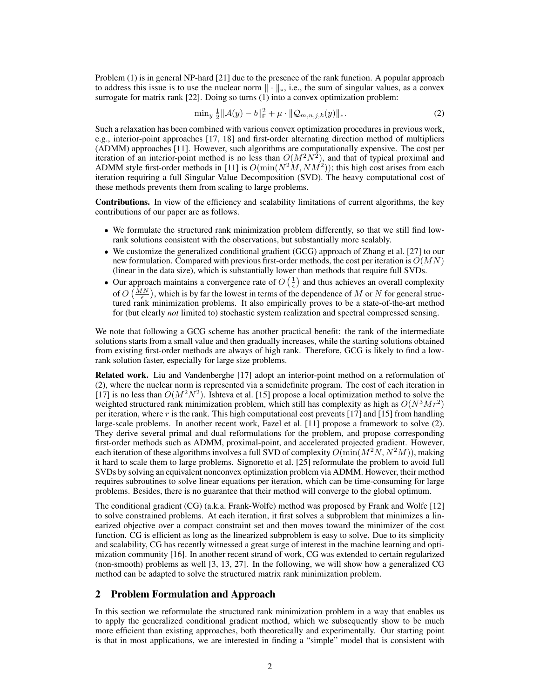Problem [\(1\)](#page-0-0) is in general NP-hard [\[21\]](#page-8-4) due to the presence of the rank function. A popular approach to address this issue is to use the nuclear norm  $\|\cdot\|_*$ , i.e., the sum of singular values, as a convex surrogate for matrix rank [\[22\]](#page-8-1). Doing so turns [\(1\)](#page-0-0) into a convex optimization problem:

<span id="page-1-0"></span>
$$
\min_{y} \frac{1}{2} ||\mathcal{A}(y) - b||^2 + \mu \cdot ||\mathcal{Q}_{m,n,j,k}(y)||_*.
$$
 (2)

Such a relaxation has been combined with various convex optimization procedures in previous work, e.g., interior-point approaches [\[17,](#page-8-13) [18\]](#page-8-14) and first-order alternating direction method of multipliers (ADMM) approaches [\[11\]](#page-8-7). However, such algorithms are computationally expensive. The cost per iteration of an interior-point method is no less than  $O(M^2N^2)$ , and that of typical proximal and ADMM style first-order methods in [\[11\]](#page-8-7) is  $O(\min(N^2M, NM^2))$ ; this high cost arises from each iteration requiring a full Singular Value Decomposition (SVD). The heavy computational cost of these methods prevents them from scaling to large problems.

Contributions. In view of the efficiency and scalability limitations of current algorithms, the key contributions of our paper are as follows.

- We formulate the structured rank minimization problem differently, so that we still find lowrank solutions consistent with the observations, but substantially more scalably.
- We customize the generalized conditional gradient (GCG) approach of Zhang et al. [\[27\]](#page-8-15) to our new formulation. Compared with previous first-order methods, the cost per iteration is  $O(MN)$ (linear in the data size), which is substantially lower than methods that require full SVDs.
- Our approach maintains a convergence rate of  $O\left(\frac{1}{\epsilon}\right)$  and thus achieves an overall complexity of  $O\left(\frac{MN}{\epsilon}\right)$ , which is by far the lowest in terms of the dependence of M or N for general structured rank minimization problems. It also empirically proves to be a state-of-the-art method for (but clearly *not* limited to) stochastic system realization and spectral compressed sensing.

We note that following a GCG scheme has another practical benefit: the rank of the intermediate solutions starts from a small value and then gradually increases, while the starting solutions obtained from existing first-order methods are always of high rank. Therefore, GCG is likely to find a lowrank solution faster, especially for large size problems.

Related work. Liu and Vandenberghe [\[17\]](#page-8-13) adopt an interior-point method on a reformulation of [\(2\)](#page-1-0), where the nuclear norm is represented via a semidefinite program. The cost of each iteration in [\[17\]](#page-8-13) is no less than  $O(M^2N^2)$ . Ishteva et al. [\[15\]](#page-8-16) propose a local optimization method to solve the weighted structured rank minimization problem, which still has complexity as high as  $O(N^3Mr^2)$ per iteration, where r is the rank. This high computational cost prevents [\[17\]](#page-8-13) and [\[15\]](#page-8-16) from handling large-scale problems. In another recent work, Fazel et al. [\[11\]](#page-8-7) propose a framework to solve [\(2\)](#page-1-0). They derive several primal and dual reformulations for the problem, and propose corresponding first-order methods such as ADMM, proximal-point, and accelerated projected gradient. However, each iteration of these algorithms involves a full SVD of complexity  $\widehat{O(\text{min}(M^2N, N^2M))}$ , making it hard to scale them to large problems. Signoretto et al. [\[25\]](#page-8-17) reformulate the problem to avoid full SVDs by solving an equivalent nonconvex optimization problem via ADMM. However, their method requires subroutines to solve linear equations per iteration, which can be time-consuming for large problems. Besides, there is no guarantee that their method will converge to the global optimum.

The conditional gradient (CG) (a.k.a. Frank-Wolfe) method was proposed by Frank and Wolfe [\[12\]](#page-8-18) to solve constrained problems. At each iteration, it first solves a subproblem that minimizes a linearized objective over a compact constraint set and then moves toward the minimizer of the cost function. CG is efficient as long as the linearized subproblem is easy to solve. Due to its simplicity and scalability, CG has recently witnessed a great surge of interest in the machine learning and optimization community [\[16\]](#page-8-19). In another recent strand of work, CG was extended to certain regularized (non-smooth) problems as well [\[3,](#page-8-20) [13,](#page-8-21) [27\]](#page-8-15). In the following, we will show how a generalized CG method can be adapted to solve the structured matrix rank minimization problem.

# 2 Problem Formulation and Approach

In this section we reformulate the structured rank minimization problem in a way that enables us to apply the generalized conditional gradient method, which we subsequently show to be much more efficient than existing approaches, both theoretically and experimentally. Our starting point is that in most applications, we are interested in finding a "simple" model that is consistent with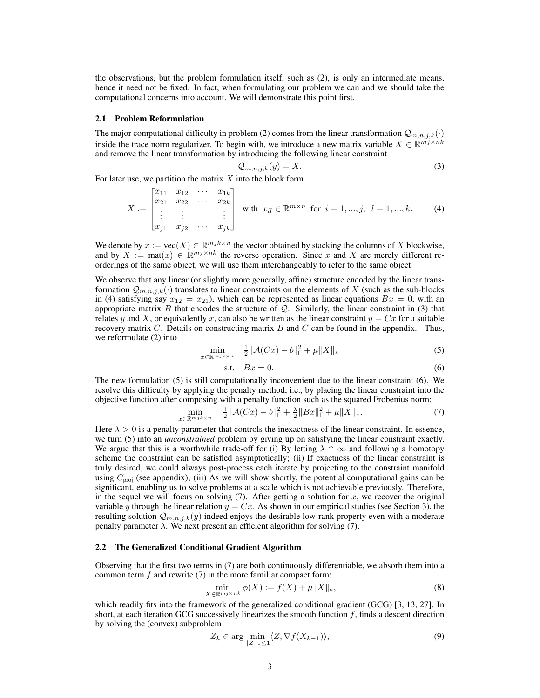the observations, but the problem formulation itself, such as [\(2\)](#page-1-0), is only an intermediate means, hence it need not be fixed. In fact, when formulating our problem we can and we should take the computational concerns into account. We will demonstrate this point first.

## 2.1 Problem Reformulation

The major computational difficulty in problem [\(2\)](#page-1-0) comes from the linear transformation  $Q_{m,n,j,k}(\cdot)$ inside the trace norm regularizer. To begin with, we introduce a new matrix variable  $X \in \mathbb{R}^{m_j \times nk}$ and remove the linear transformation by introducing the following linear constraint

<span id="page-2-1"></span><span id="page-2-0"></span>
$$
\mathcal{Q}_{m,n,j,k}(y) = X.\tag{3}
$$

For later use, we partition the matrix  $X$  into the block form

$$
X := \begin{bmatrix} x_{11} & x_{12} & \cdots & x_{1k} \\ x_{21} & x_{22} & \cdots & x_{2k} \\ \vdots & \vdots & & \vdots \\ x_{j1} & x_{j2} & \cdots & x_{jk} \end{bmatrix} \text{ with } x_{il} \in \mathbb{R}^{m \times n} \text{ for } i = 1, ..., j, l = 1, ..., k. \tag{4}
$$

We denote by  $x := \text{vec}(X) \in \mathbb{R}^{mjk \times n}$  the vector obtained by stacking the columns of X blockwise, and by  $X := \text{mat}(x) \in \mathbb{R}^{m_j \times nk}$  the reverse operation. Since x and X are merely different reorderings of the same object, we will use them interchangeably to refer to the same object.

We observe that any linear (or slightly more generally, affine) structure encoded by the linear transformation  $Q_{m,n,j,k}(\cdot)$  translates to linear constraints on the elements of X (such as the sub-blocks in [\(4\)](#page-2-0) satisfying say  $x_{12} = x_{21}$ , which can be represented as linear equations  $Bx = 0$ , with an appropriate matrix B that encodes the structure of  $Q$ . Similarly, the linear constraint in [\(3\)](#page-2-1) that relates y and X, or equivalently x, can also be written as the linear constraint  $y = Cx$  for a suitable recovery matrix  $C$ . Details on constructing matrix  $B$  and  $C$  can be found in the appendix. Thus, we reformulate [\(2\)](#page-1-0) into

$$
\min_{x \in \mathbb{R}^{mjk} \times n} \quad \frac{1}{2} \| \mathcal{A}(Cx) - b \|_{\mathsf{F}}^2 + \mu \| X \|_{*} \tag{5}
$$

<span id="page-2-3"></span><span id="page-2-2"></span>
$$
s.t. \quad Bx = 0. \tag{6}
$$

The new formulation [\(5\)](#page-2-2) is still computationally inconvenient due to the linear constraint [\(6\)](#page-2-3). We resolve this difficulty by applying the penalty method, i.e., by placing the linear constraint into the objective function after composing with a penalty function such as the squared Frobenius norm:

<span id="page-2-4"></span>
$$
\min_{x \in \mathbb{R}^{mjk} \times n} \quad \frac{1}{2} \|\mathcal{A}(Cx) - b\|_{\mathsf{F}}^2 + \frac{\lambda}{2} \|Bx\|_{\mathsf{F}}^2 + \mu \|X\|_{*}.
$$
 (7)

Here  $\lambda > 0$  is a penalty parameter that controls the inexactness of the linear constraint. In essence, we turn [\(5\)](#page-2-2) into an *unconstrained* problem by giving up on satisfying the linear constraint exactly. We argue that this is a worthwhile trade-off for (i) By letting  $\lambda \uparrow \infty$  and following a homotopy scheme the constraint can be satisfied asymptotically; (ii) If exactness of the linear constraint is truly desired, we could always post-process each iterate by projecting to the constraint manifold using  $C_{\text{proj}}$  (see appendix); (iii) As we will show shortly, the potential computational gains can be significant, enabling us to solve problems at a scale which is not achievable previously. Therefore, in the sequel we will focus on solving  $(7)$ . After getting a solution for x, we recover the original variable y through the linear relation  $y = Cx$ . As shown in our empirical studies (see Section [3\)](#page-4-0), the resulting solution  $Q_{m,n,j,k}(y)$  indeed enjoys the desirable low-rank property even with a moderate penalty parameter  $λ$ . We next present an efficient algorithm for solving [\(7\)](#page-2-4).

## 2.2 The Generalized Conditional Gradient Algorithm

Observing that the first two terms in [\(7\)](#page-2-4) are both continuously differentiable, we absorb them into a common term  $f$  and rewrite  $(7)$  in the more familiar compact form:

<span id="page-2-6"></span>
$$
\min_{X \in \mathbb{R}^{m_j} \times n_k} \phi(X) := f(X) + \mu \|X\|_*,
$$
\n(8)

which readily fits into the framework of the generalized conditional gradient (GCG) [\[3,](#page-8-20) [13,](#page-8-21) [27\]](#page-8-15). In short, at each iteration GCG successively linearizes the smooth function  $f$ , finds a descent direction by solving the (convex) subproblem

<span id="page-2-5"></span>
$$
Z_k \in \arg\min_{\|Z\|_* \le 1} \langle Z, \nabla f(X_{k-1}) \rangle,\tag{9}
$$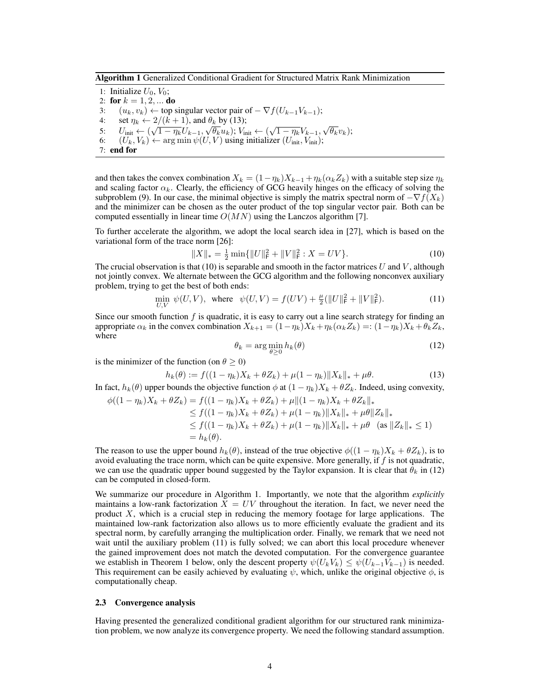<span id="page-3-3"></span>Algorithm 1 Generalized Conditional Gradient for Structured Matrix Rank Minimization

1: Initialize  $U_0$ ,  $V_0$ ; 2: for  $k = 1, 2, ...$  do

3:  $(u_k, v_k) \leftarrow$  top singular vector pair of  $-\nabla f(U_{k-1}V_{k-1});$ 

- 4: set  $\eta_k \leftarrow 2/(k+1)$ , and  $\theta_k$  by [\(13\)](#page-3-0);
- 5:  $U_{\text{init}} \leftarrow 2/(k+1)$ , and  $\sigma_k$  by (15);<br>5:  $U_{\text{init}} \leftarrow (\sqrt{1 \eta_k} U_{k-1}, \sqrt{\theta_k} u_k)$ ;  $V_{\text{init}} \leftarrow (\sqrt{1 \eta_k} V_{k-1}, \sqrt{\theta_k} v_k)$ ;
- 6:  $(U_k, V_k) \leftarrow \arg \min \psi(U, V)$  using initializer  $(U_{\text{init}}, V_{\text{init}})$ ;

$$
7: end for
$$

and then takes the convex combination  $X_k = (1 - \eta_k)X_{k-1} + \eta_k(\alpha_k Z_k)$  with a suitable step size  $\eta_k$ and scaling factor  $\alpha_k$ . Clearly, the efficiency of GCG heavily hinges on the efficacy of solving the subproblem [\(9\)](#page-2-5). In our case, the minimal objective is simply the matrix spectral norm of  $-\nabla f(X_k)$ and the minimizer can be chosen as the outer product of the top singular vector pair. Both can be computed essentially in linear time  $O(MN)$  using the Lanczos algorithm [\[7\]](#page-8-22).

To further accelerate the algorithm, we adopt the local search idea in [\[27\]](#page-8-15), which is based on the variational form of the trace norm [\[26\]](#page-8-23):

$$
||X||_* = \frac{1}{2} \min \{ ||U||_F^2 + ||V||_F^2 : X = UV \}.
$$
 (10)

The crucial observation is that [\(10\)](#page-3-1) is separable and smooth in the factor matrices  $U$  and  $V$ , although not jointly convex. We alternate between the GCG algorithm and the following nonconvex auxiliary problem, trying to get the best of both ends:

$$
\min_{U,V} \psi(U,V), \text{ where } \psi(U,V) = f(UV) + \frac{\mu}{2}(\|U\|_{\text{F}}^2 + \|V\|_{\text{F}}^2). \tag{11}
$$

Since our smooth function  $f$  is quadratic, it is easy to carry out a line search strategy for finding an appropriate  $\alpha_k$  in the convex combination  $X_{k+1} = (1 - \eta_k)X_k + \eta_k(\alpha_k Z_k) =: (1 - \eta_k)X_k + \theta_k Z_k$ , where

<span id="page-3-4"></span><span id="page-3-2"></span><span id="page-3-1"></span>
$$
\theta_k = \arg\min_{\theta \ge 0} h_k(\theta) \tag{12}
$$

is the minimizer of the function (on  $\theta \ge 0$ )

<span id="page-3-0"></span>
$$
h_k(\theta) := f((1 - \eta_k)X_k + \theta Z_k) + \mu(1 - \eta_k) \|X_k\|_* + \mu\theta.
$$
 (13)

In fact,  $h_k(\theta)$  upper bounds the objective function  $\phi$  at  $(1 - \eta_k)X_k + \theta Z_k$ . Indeed, using convexity,

$$
\phi((1 - \eta_k)X_k + \theta Z_k) = f((1 - \eta_k)X_k + \theta Z_k) + \mu \|(1 - \eta_k)X_k + \theta Z_k\|_*
$$
  
\n
$$
\leq f((1 - \eta_k)X_k + \theta Z_k) + \mu(1 - \eta_k) \|X_k\|_* + \mu \theta \|Z_k\|_*
$$
  
\n
$$
\leq f((1 - \eta_k)X_k + \theta Z_k) + \mu(1 - \eta_k) \|X_k\|_* + \mu \theta \quad \text{(as } \|Z_k\|_* \leq 1)
$$
  
\n
$$
= h_k(\theta).
$$

The reason to use the upper bound  $h_k(\theta)$ , instead of the true objective  $\phi((1 - \eta_k)X_k + \theta Z_k)$ , is to avoid evaluating the trace norm, which can be quite expensive. More generally, if  $f$  is not quadratic, we can use the quadratic upper bound suggested by the Taylor expansion. It is clear that  $\theta_k$  in [\(12\)](#page-3-2) can be computed in closed-form.

We summarize our procedure in Algorithm [1.](#page-3-3) Importantly, we note that the algorithm *explicitly* maintains a low-rank factorization  $X = UV$  throughout the iteration. In fact, we never need the product  $X$ , which is a crucial step in reducing the memory footage for large applications. The maintained low-rank factorization also allows us to more efficiently evaluate the gradient and its spectral norm, by carefully arranging the multiplication order. Finally, we remark that we need not wait until the auxiliary problem [\(11\)](#page-3-4) is fully solved; we can abort this local procedure whenever the gained improvement does not match the devoted computation. For the convergence guarantee we establish in Theorem 1 below, only the descent property  $\psi(U_kV_k) \leq \psi(U_{k-1}V_{k-1})$  is needed. This requirement can be easily achieved by evaluating  $\psi$ , which, unlike the original objective  $\phi$ , is computationally cheap.

# 2.3 Convergence analysis

<span id="page-3-5"></span>Having presented the generalized conditional gradient algorithm for our structured rank minimization problem, we now analyze its convergence property. We need the following standard assumption.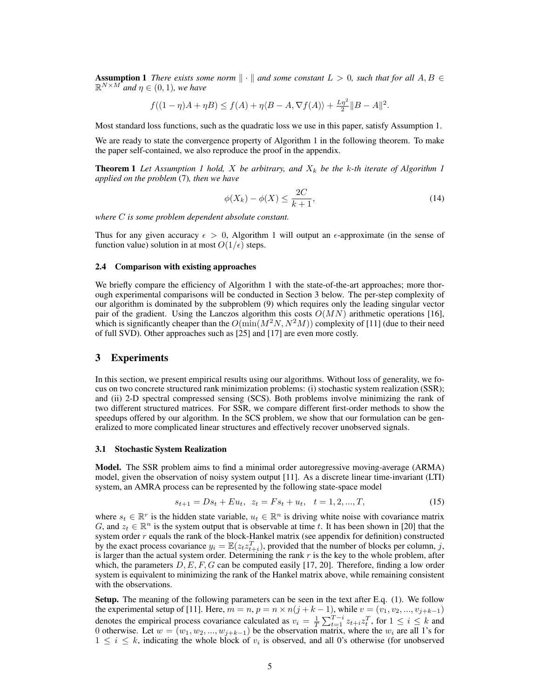**Assumption 1** *There exists some norm*  $\|\cdot\|$  *and some constant*  $L > 0$ *, such that for all*  $A, B \in$  $\mathbb{R}^{N \times M}$  and  $\eta \in (0,1)$ , we have

$$
f((1 - \eta)A + \eta B) \le f(A) + \eta \langle B - A, \nabla f(A) \rangle + \frac{L\eta^2}{2} ||B - A||^2.
$$

Most standard loss functions, such as the quadratic loss we use in this paper, satisfy Assumption [1.](#page-3-5)

We are ready to state the convergence property of Algorithm [1](#page-3-3) in the following theorem. To make the paper self-contained, we also reproduce the proof in the appendix.

**Theorem [1](#page-3-3)** Let Assumption 1 hold, X be arbitrary, and  $X_k$  be the k-th iterate of Algorithm 1 *applied on the problem* [\(7\)](#page-2-4)*, then we have*

<span id="page-4-1"></span>
$$
\phi(X_k) - \phi(X) \le \frac{2C}{k+1},\tag{14}
$$

*where* C *is some problem dependent absolute constant.*

Thus for any given accuracy  $\epsilon > 0$ , Algorithm [1](#page-3-3) will output an  $\epsilon$ -approximate (in the sense of function value) solution in at most  $O(1/\epsilon)$  steps.

## 2.4 Comparison with existing approaches

We briefly compare the efficiency of Algorithm [1](#page-3-3) with the state-of-the-art approaches; more thorough experimental comparisons will be conducted in Section 3 below. The per-step complexity of our algorithm is dominated by the subproblem [\(9\)](#page-2-5) which requires only the leading singular vector pair of the gradient. Using the Lanczos algorithm this costs  $O(MN)$  arithmetic operations [\[16\]](#page-8-19), which is significantly cheaper than the  $O(\min(M^2N, N^2M))$  complexity of [\[11\]](#page-8-7) (due to their need of full SVD). Other approaches such as [\[25\]](#page-8-17) and [\[17\]](#page-8-13) are even more costly.

# <span id="page-4-0"></span>3 Experiments

In this section, we present empirical results using our algorithms. Without loss of generality, we focus on two concrete structured rank minimization problems: (i) stochastic system realization (SSR); and (ii) 2-D spectral compressed sensing (SCS). Both problems involve minimizing the rank of two different structured matrices. For SSR, we compare different first-order methods to show the speedups offered by our algorithm. In the SCS problem, we show that our formulation can be generalized to more complicated linear structures and effectively recover unobserved signals.

## 3.1 Stochastic System Realization

Model. The SSR problem aims to find a minimal order autoregressive moving-average (ARMA) model, given the observation of noisy system output [\[11\]](#page-8-7). As a discrete linear time-invariant (LTI) system, an AMRA process can be represented by the following state-space model

$$
s_{t+1} = Ds_t + Eu_t, \ \ z_t = Fs_t + u_t, \ \ t = 1, 2, ..., T,
$$
\n
$$
(15)
$$

where  $s_t \in \mathbb{R}^r$  is the hidden state variable,  $u_t \in \mathbb{R}^n$  is driving white noise with covariance matrix G, and  $z_t \in \mathbb{R}^n$  is the system output that is observable at time t. It has been shown in [\[20\]](#page-8-8) that the system order  $r$  equals the rank of the block-Hankel matrix (see appendix for definition) constructed by the exact process covariance  $y_i = \mathbb{E}(z_t z_{t+i}^T)$ , provided that the number of blocks per column, j, is larger than the actual system order. Determining the rank  $r$  is the key to the whole problem, after which, the parameters  $D, E, F, G$  can be computed easily [\[17,](#page-8-13) [20\]](#page-8-8). Therefore, finding a low order system is equivalent to minimizing the rank of the Hankel matrix above, while remaining consistent with the observations.

Setup. The meaning of the following parameters can be seen in the text after E.q. [\(1\)](#page-0-0). We follow the experimental setup of [\[11\]](#page-8-7). Here,  $m = n$ ,  $p = n \times n(j + k - 1)$ , while  $v = (v_1, v_2, ..., v_{j+k-1})$ denotes the empirical process covariance calculated as  $v_i = \frac{1}{T} \sum_{t=1}^{T-i} z_{t+i} z_t^T$ , for  $1 \le i \le k$  and 0 otherwise. Let  $w = (w_1, w_2, ..., w_{j+k-1})$  be the observation matrix, where the  $w_i$  are all 1's for  $1 \leq i \leq k$ , indicating the whole block of  $v_i$  is observed, and all 0's otherwise (for unobserved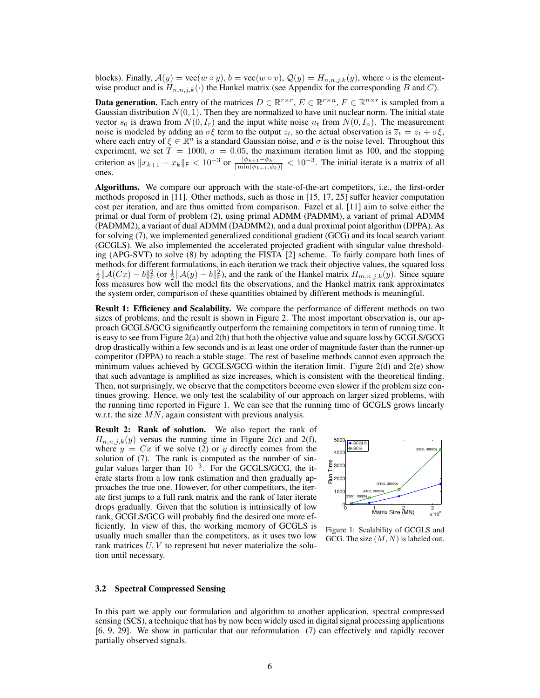blocks). Finally,  $A(y) = \text{vec}(w \circ y)$ ,  $b = \text{vec}(w \circ v)$ ,  $Q(y) = H_{n,n,j,k}(y)$ , where  $\circ$  is the elementwise product and is  $H_{n,n,j,k}(\cdot)$  the Hankel matrix (see Appendix for the corresponding B and C).

**Data generation.** Each entry of the matrices  $D \in \mathbb{R}^{r \times r}$ ,  $E \in \mathbb{R}^{r \times n}$ ,  $F \in \mathbb{R}^{n \times r}$  is sampled from a Gaussian distribution  $N(0, 1)$ . Then they are normalized to have unit nuclear norm. The initial state vector  $s_0$  is drawn from  $N(0, I_r)$  and the input white noise  $u_t$  from  $N(0, I_n)$ . The measurement noise is modeled by adding an  $\sigma \xi$  term to the output  $z_t$ , so the actual observation is  $\overline{z}_t = z_t + \sigma \xi$ , where each entry of  $\xi \in \mathbb{R}^n$  is a standard Gaussian noise, and  $\sigma$  is the noise level. Throughout this experiment, we set  $T = 1000$ ,  $\sigma = 0.05$ , the maximum iteration limit as 100, and the stopping criterion as  $||x_{k+1} - x_k||_F < 10^{-3}$  or  $\frac{|\phi_{k+1} - \phi_k|}{|\min(\phi_{k+1}, \phi_k)|} < 10^{-3}$ . The initial iterate is a matrix of all ones.

Algorithms. We compare our approach with the state-of-the-art competitors, i.e., the first-order methods proposed in [\[11\]](#page-8-7). Other methods, such as those in [\[15,](#page-8-16) [17,](#page-8-13) [25\]](#page-8-17) suffer heavier computation cost per iteration, and are thus omitted from comparison. Fazel et al. [\[11\]](#page-8-7) aim to solve either the primal or dual form of problem [\(2\)](#page-1-0), using primal ADMM (PADMM), a variant of primal ADMM (PADMM2), a variant of dual ADMM (DADMM2), and a dual proximal point algorithm (DPPA). As for solving [\(7\)](#page-2-4), we implemented generalized conditional gradient (GCG) and its local search variant (GCGLS). We also implemented the accelerated projected gradient with singular value thresholding (APG-SVT) to solve [\(8\)](#page-2-6) by adopting the FISTA [\[2\]](#page-8-24) scheme. To fairly compare both lines of methods for different formulations, in each iteration we track their objective values, the squared loss  $\frac{1}{2} \|\mathcal{A}(Cx) - b\|_F^2$  (or  $\frac{1}{2} \|\mathcal{A}(y) - b\|_F^2$ ), and the rank of the Hankel matrix  $H_{m,n,j,k}(y)$ . Since square loss measures how well the model fits the observations, and the Hankel matrix rank approximates the system order, comparison of these quantities obtained by different methods is meaningful.

**Result 1: Efficiency and Scalability.** We compare the performance of different methods on two sizes of problems, and the result is shown in Figure [2.](#page-6-0) The most important observation is, our approach GCGLS/GCG significantly outperform the remaining competitors in term of running time. It is easy to see from Figure [2\(a\)](#page-6-1) and [2\(b\)](#page-6-2) that both the objective value and square loss by GCGLS/GCG drop drastically within a few seconds and is at least one order of magnitude faster than the runner-up competitor (DPPA) to reach a stable stage. The rest of baseline methods cannot even approach the minimum values achieved by GCGLS/GCG within the iteration limit. Figure  $2(d)$  and  $2(e)$  show that such advantage is amplified as size increases, which is consistent with the theoretical finding. Then, not surprisingly, we observe that the competitors become even slower if the problem size continues growing. Hence, we only test the scalability of our approach on larger sized problems, with the running time reported in Figure [1.](#page-5-0) We can see that the running time of GCGLS grows linearly w.r.t. the size  $MN$ , again consistent with previous analysis.

Result 2: Rank of solution. We also report the rank of  $H_{n,n,j,k}(y)$  versus the running time in Figure [2\(c\)](#page-6-5) and [2\(f\),](#page-6-6) where  $y = Cx$  if we solve [\(2\)](#page-1-0) or y directly comes from the solution of [\(7\)](#page-2-4). The rank is computed as the number of singular values larger than  $10^{-3}$ . For the GCGLS/GCG, the iterate starts from a low rank estimation and then gradually approaches the true one. However, for other competitors, the iterate first jumps to a full rank matrix and the rank of later iterate drops gradually. Given that the solution is intrinsically of low rank, GCGLS/GCG will probably find the desired one more efficiently. In view of this, the working memory of GCGLS is usually much smaller than the competitors, as it uses two low rank matrices  $U, V$  to represent but never materialize the solution until necessary.

<span id="page-5-0"></span>

Figure 1: Scalability of GCGLS and GCG. The size  $(M, N)$  is labeled out.

#### 3.2 Spectral Compressed Sensing

In this part we apply our formulation and algorithm to another application, spectral compressed sensing (SCS), a technique that has by now been widely used in digital signal processing applications [\[6,](#page-8-9) [9,](#page-8-25) [29\]](#page-8-26). We show in particular that our reformulation [\(7\)](#page-2-4) can effectively and rapidly recover partially observed signals.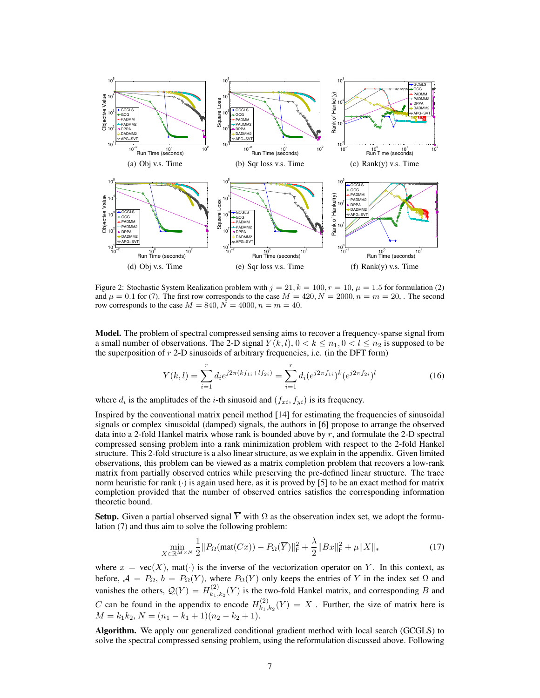<span id="page-6-5"></span><span id="page-6-2"></span><span id="page-6-1"></span><span id="page-6-0"></span>

<span id="page-6-4"></span><span id="page-6-3"></span>Figure 2: Stochastic System Realization problem with  $j = 21, k = 100, r = 10, \mu = 1.5$  for formulation [\(2\)](#page-1-0) and  $\mu = 0.1$  for [\(7\)](#page-2-4). The first row corresponds to the case  $M = 420$ ,  $N = 2000$ ,  $n = m = 20$ , . The second row corresponds to the case  $M = 840, \overline{N} = 4000, n = m = 40$ .

Model. The problem of spectral compressed sensing aims to recover a frequency-sparse signal from a small number of observations. The 2-D signal  $Y(k, l)$ ,  $0 < k \leq n_1, 0 < l \leq n_2$  is supposed to be the superposition of  $r$  2-D sinusoids of arbitrary frequencies, i.e. (in the DFT form)

<span id="page-6-6"></span>
$$
Y(k,l) = \sum_{i=1}^{r} d_i e^{j2\pi (kf_{1i} + lf_{2i})} = \sum_{i=1}^{r} d_i (e^{j2\pi f_{1i}})^k (e^{j2\pi f_{2i}})^l
$$
(16)

where  $d_i$  is the amplitudes of the *i*-th sinusoid and  $(f_{xi}, f_{yi})$  is its frequency.

Inspired by the conventional matrix pencil method [\[14\]](#page-8-27) for estimating the frequencies of sinusoidal signals or complex sinusoidal (damped) signals, the authors in [\[6\]](#page-8-9) propose to arrange the observed data into a 2-fold Hankel matrix whose rank is bounded above by  $r$ , and formulate the 2-D spectral compressed sensing problem into a rank minimization problem with respect to the 2-fold Hankel structure. This 2-fold structure is a also linear structure, as we explain in the appendix. Given limited observations, this problem can be viewed as a matrix completion problem that recovers a low-rank matrix from partially observed entries while preserving the pre-defined linear structure. The trace norm heuristic for rank  $(\cdot)$  is again used here, as it is proved by [\[5\]](#page-8-28) to be an exact method for matrix completion provided that the number of observed entries satisfies the corresponding information theoretic bound.

**Setup.** Given a partial observed signal  $\overline{Y}$  with  $\Omega$  as the observation index set, we adopt the formulation [\(7\)](#page-2-4) and thus aim to solve the following problem:

$$
\min_{X \in \mathbb{R}^{M \times N}} \frac{1}{2} \| P_{\Omega}(\text{mat}(Cx)) - P_{\Omega}(\overline{Y}) \|_{\mathsf{F}}^2 + \frac{\lambda}{2} \|Bx\|_{\mathsf{F}}^2 + \mu \|X\|_* \tag{17}
$$

where  $x = \text{vec}(X)$ , mat( $\cdot$ ) is the inverse of the vectorization operator on Y. In this context, as before,  $A = P_{\Omega}, b = P_{\Omega}(\overline{Y})$ , where  $P_{\Omega}(\overline{Y})$  only keeps the entries of  $\overline{Y}$  in the index set  $\Omega$  and vanishes the others,  $Q(Y) = H_{k_1}^{(2)}$  $k_{1,k_2}^{(2)}(Y)$  is the two-fold Hankel matrix, and corresponding B and C can be found in the appendix to encode  $H_{k_1}^{(2)}$  $k_{1,k_2}(Y) = X$ . Further, the size of matrix here is  $M = k_1 k_2, N = (n_1 - k_1 + 1)(n_2 - k_2 + 1).$ 

Algorithm. We apply our generalized conditional gradient method with local search (GCGLS) to solve the spectral compressed sensing problem, using the reformulation discussed above. Following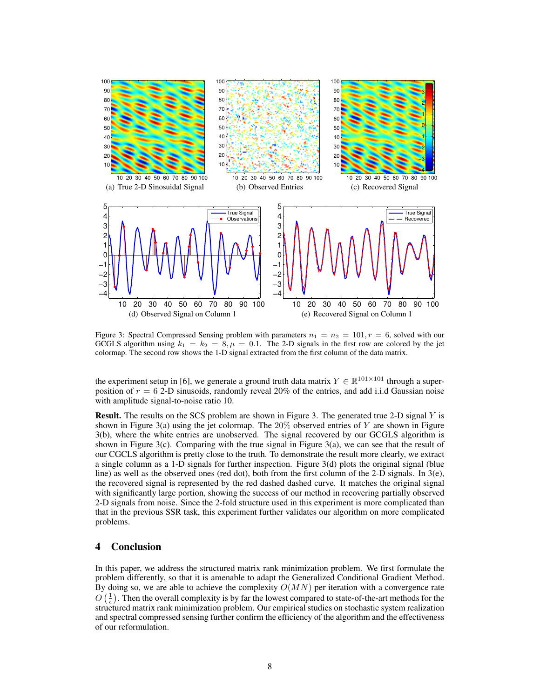<span id="page-7-3"></span><span id="page-7-2"></span><span id="page-7-1"></span><span id="page-7-0"></span>

<span id="page-7-5"></span><span id="page-7-4"></span>Figure 3: Spectral Compressed Sensing problem with parameters  $n_1 = n_2 = 101$ ,  $r = 6$ , solved with our GCGLS algorithm using  $k_1 = k_2 = 8, \mu = 0.1$ . The 2-D signals in the first row are colored by the jet colormap. The second row shows the 1-D signal extracted from the first column of the data matrix.

the experiment setup in [\[6\]](#page-8-9), we generate a ground truth data matrix  $Y \in \mathbb{R}^{101 \times 101}$  through a superposition of  $r = 6$  2-D sinusoids, randomly reveal 20% of the entries, and add i.i.d Gaussian noise with amplitude signal-to-noise ratio 10.

**Result.** The results on the SCS problem are shown in Figure [3.](#page-7-0) The generated true 2-D signal  $Y$  is shown in Figure [3\(a\)](#page-7-1) using the jet colormap. The  $20\%$  observed entries of Y are shown in Figure [3\(b\),](#page-7-2) where the white entries are unobserved. The signal recovered by our GCGLS algorithm is shown in Figure [3\(c\).](#page-7-3) Comparing with the true signal in Figure [3\(a\),](#page-7-1) we can see that the result of our CGCLS algorithm is pretty close to the truth. To demonstrate the result more clearly, we extract a single column as a 1-D signals for further inspection. Figure [3\(d\)](#page-7-4) plots the original signal (blue line) as well as the observed ones (red dot), both from the first column of the 2-D signals. In [3\(e\),](#page-7-5) the recovered signal is represented by the red dashed dashed curve. It matches the original signal with significantly large portion, showing the success of our method in recovering partially observed 2-D signals from noise. Since the 2-fold structure used in this experiment is more complicated than that in the previous SSR task, this experiment further validates our algorithm on more complicated problems.

# 4 Conclusion

In this paper, we address the structured matrix rank minimization problem. We first formulate the problem differently, so that it is amenable to adapt the Generalized Conditional Gradient Method. By doing so, we are able to achieve the complexity  $O(MN)$  per iteration with a convergence rate  $O\left(\frac{1}{\epsilon}\right)$ . Then the overall complexity is by far the lowest compared to state-of-the-art methods for the structured matrix rank minimization problem. Our empirical studies on stochastic system realization and spectral compressed sensing further confirm the efficiency of the algorithm and the effectiveness of our reformulation.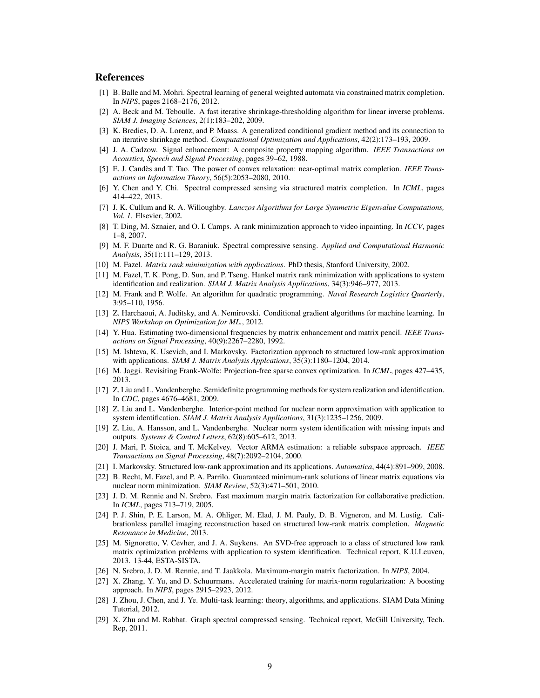# References

- <span id="page-8-10"></span>[1] B. Balle and M. Mohri. Spectral learning of general weighted automata via constrained matrix completion. In *NIPS*, pages 2168–2176, 2012.
- <span id="page-8-24"></span>[2] A. Beck and M. Teboulle. A fast iterative shrinkage-thresholding algorithm for linear inverse problems. *SIAM J. Imaging Sciences*, 2(1):183–202, 2009.
- <span id="page-8-20"></span>[3] K. Bredies, D. A. Lorenz, and P. Maass. A generalized conditional gradient method and its connection to an iterative shrinkage method. *Computational Optimization and Applications*, 42(2):173–193, 2009.
- <span id="page-8-6"></span>[4] J. A. Cadzow. Signal enhancement: A composite property mapping algorithm. *IEEE Transactions on Acoustics, Speech and Signal Processing*, pages 39–62, 1988.
- <span id="page-8-28"></span>[5] E. J. Candès and T. Tao. The power of convex relaxation: near-optimal matrix completion. *IEEE Transactions on Information Theory*, 56(5):2053–2080, 2010.
- <span id="page-8-9"></span>[6] Y. Chen and Y. Chi. Spectral compressed sensing via structured matrix completion. In *ICML*, pages 414–422, 2013.
- <span id="page-8-22"></span>[7] J. K. Cullum and R. A. Willoughby. *Lanczos Algorithms for Large Symmetric Eigenvalue Computations, Vol. 1*. Elsevier, 2002.
- <span id="page-8-11"></span>[8] T. Ding, M. Sznaier, and O. I. Camps. A rank minimization approach to video inpainting. In *ICCV*, pages 1–8, 2007.
- <span id="page-8-25"></span>[9] M. F. Duarte and R. G. Baraniuk. Spectral compressive sensing. *Applied and Computational Harmonic Analysis*, 35(1):111–129, 2013.
- <span id="page-8-0"></span>[10] M. Fazel. *Matrix rank minimization with applications*. PhD thesis, Stanford University, 2002.
- <span id="page-8-7"></span>[11] M. Fazel, T. K. Pong, D. Sun, and P. Tseng. Hankel matrix rank minimization with applications to system identification and realization. *SIAM J. Matrix Analysis Applications*, 34(3):946–977, 2013.
- <span id="page-8-18"></span>[12] M. Frank and P. Wolfe. An algorithm for quadratic programming. *Naval Research Logistics Quarterly*, 3:95–110, 1956.
- <span id="page-8-21"></span>[13] Z. Harchaoui, A. Juditsky, and A. Nemirovski. Conditional gradient algorithms for machine learning. In *NIPS Workshop on Optimization for ML.*, 2012.
- <span id="page-8-27"></span>[14] Y. Hua. Estimating two-dimensional frequencies by matrix enhancement and matrix pencil. *IEEE Transactions on Signal Processing*, 40(9):2267–2280, 1992.
- <span id="page-8-16"></span>[15] M. Ishteva, K. Usevich, and I. Markovsky. Factorization approach to structured low-rank approximation with applications. *SIAM J. Matrix Analysis Applcations*, 35(3):1180–1204, 2014.
- <span id="page-8-19"></span>[16] M. Jaggi. Revisiting Frank-Wolfe: Projection-free sparse convex optimization. In *ICML*, pages 427–435, 2013.
- <span id="page-8-13"></span>[17] Z. Liu and L. Vandenberghe. Semidefinite programming methods for system realization and identification. In *CDC*, pages 4676–4681, 2009.
- <span id="page-8-14"></span>[18] Z. Liu and L. Vandenberghe. Interior-point method for nuclear norm approximation with application to system identification. *SIAM J. Matrix Analysis Applications*, 31(3):1235–1256, 2009.
- <span id="page-8-3"></span>[19] Z. Liu, A. Hansson, and L. Vandenberghe. Nuclear norm system identification with missing inputs and outputs. *Systems & Control Letters*, 62(8):605–612, 2013.
- <span id="page-8-8"></span>[20] J. Mari, P. Stoica, and T. McKelvey. Vector ARMA estimation: a reliable subspace approach. *IEEE Transactions on Signal Processing*, 48(7):2092–2104, 2000.
- <span id="page-8-4"></span>[21] I. Markovsky. Structured low-rank approximation and its applications. *Automatica*, 44(4):891–909, 2008.
- <span id="page-8-1"></span>[22] B. Recht, M. Fazel, and P. A. Parrilo. Guaranteed minimum-rank solutions of linear matrix equations via nuclear norm minimization. *SIAM Review*, 52(3):471–501, 2010.
- <span id="page-8-2"></span>[23] J. D. M. Rennie and N. Srebro. Fast maximum margin matrix factorization for collaborative prediction. In *ICML*, pages 713–719, 2005.
- <span id="page-8-12"></span>[24] P. J. Shin, P. E. Larson, M. A. Ohliger, M. Elad, J. M. Pauly, D. B. Vigneron, and M. Lustig. Calibrationless parallel imaging reconstruction based on structured low-rank matrix completion. *Magnetic Resonance in Medicine*, 2013.
- <span id="page-8-17"></span>[25] M. Signoretto, V. Cevher, and J. A. Suykens. An SVD-free approach to a class of structured low rank matrix optimization problems with application to system identification. Technical report, K.U.Leuven, 2013. 13-44, ESTA-SISTA.
- <span id="page-8-23"></span>[26] N. Srebro, J. D. M. Rennie, and T. Jaakkola. Maximum-margin matrix factorization. In *NIPS*, 2004.
- <span id="page-8-15"></span>[27] X. Zhang, Y. Yu, and D. Schuurmans. Accelerated training for matrix-norm regularization: A boosting approach. In *NIPS*, pages 2915–2923, 2012.
- <span id="page-8-5"></span>[28] J. Zhou, J. Chen, and J. Ye. Multi-task learning: theory, algorithms, and applications. SIAM Data Mining Tutorial, 2012.
- <span id="page-8-26"></span>[29] X. Zhu and M. Rabbat. Graph spectral compressed sensing. Technical report, McGill University, Tech. Rep, 2011.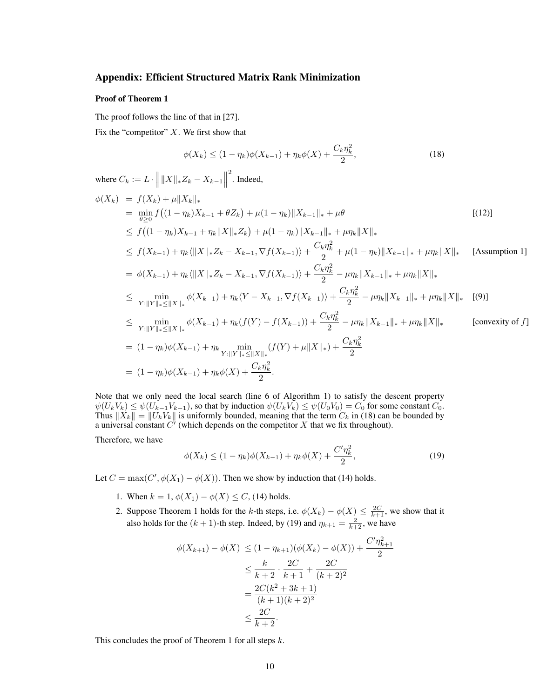# Appendix: Efficient Structured Matrix Rank Minimization

## Proof of Theorem 1

The proof follows the line of that in [\[27\]](#page-8-15). Fix the "competitor"  $X$ . We first show that

<span id="page-9-0"></span>
$$
\phi(X_k) \le (1 - \eta_k)\phi(X_{k-1}) + \eta_k\phi(X) + \frac{C_k \eta_k^2}{2},
$$
\n(18)

where  $C_k := L \cdot \left\| \|X\|_* Z_k - X_{k-1} \right\|$  $\alpha$ <sup>2</sup>. Indeed,

$$
\phi(X_k) = f(X_k) + \mu \|X_k\|_{*}
$$
\n
$$
= \min_{\theta \geq 0} f((1 - \eta_k)X_{k-1} + \theta Z_k) + \mu(1 - \eta_k) \|X_{k-1}\|_{*} + \mu \theta
$$
\n[ (12)]\n
$$
\leq f((1 - \eta_k)X_{k-1} + \eta_k \|X\|_{*} Z_k) + \mu(1 - \eta_k) \|X_{k-1}\|_{*} + \mu \eta_k \|X\|_{*}
$$
\n[ (12)]\n
$$
\leq f(X_{k-1}) + \eta_k \|X\|_{*} Z_k - X_{k-1}, \nabla f(X_{k-1}) \rangle + \frac{C_k \eta_k^2}{2} + \mu(1 - \eta_k) \|X_{k-1}\|_{*} + \mu \eta_k \|X\|_{*}
$$
\n[Assumption 1]\n
$$
= \phi(X_{k-1}) + \eta_k \|X\|_{*} Z_k - X_{k-1}, \nabla f(X_{k-1}) \rangle + \frac{C_k \eta_k^2}{2} - \mu \eta_k \|X_{k-1}\|_{*} + \mu \eta_k \|X\|_{*}
$$
\n[Assumption 1]\n
$$
\leq \min_{Y: \|Y\|_{*} \leq \|X\|_{*}} \phi(X_{k-1}) + \eta_k \langle Y - X_{k-1}, \nabla f(X_{k-1}) \rangle + \frac{C_k \eta_k^2}{2} - \mu \eta_k \|X_{k-1}\|_{*} + \mu \eta_k \|X\|_{*}
$$
\n[ (9)]\n
$$
\leq \min_{Y: \|Y\|_{*} \leq \|X\|_{*}} \phi(X_{k-1}) + \eta_k (f(Y) - f(X_{k-1})) + \frac{C_k \eta_k^2}{2} - \mu \eta_k \|X_{k-1}\|_{*} + \mu \eta_k \|X\|_{*}
$$
\n[ convexity of f]\n
$$
= (1 - \eta_k) \phi(X_{k-1}) + \eta_k \min_{Y: \|Y\|_{*} \leq \|X\|_{*}}
$$
\n
$$
= (1 - \eta_k) \phi(X_{k-1}) + \eta_k \phi(X) + \frac{C_k \eta_k^2}{2}.
$$

Note that we only need the local search (line 6 of Algorithm 1) to satisfy the descent property  $\psi(U_kV_k) \leq \psi(U_{k-1}V_{k-1})$ , so that by induction  $\psi(U_kV_k) \leq \psi(U_0V_0) = C_0$  for some constant  $C_0$ . Thus  $||X_k|| = ||U_kV_k||$  is uniformly bounded, meaning that the term  $C_k$  in [\(18\)](#page-9-0) can be bounded by a universal constant  $C'$  (which depends on the competitor X that we fix throughout).

Therefore, we have

<span id="page-9-1"></span>
$$
\phi(X_k) \le (1 - \eta_k)\phi(X_{k-1}) + \eta_k\phi(X) + \frac{C'\eta_k^2}{2},\tag{19}
$$

Let  $C = \max(C', \phi(X_1) - \phi(X))$ . Then we show by induction that [\(14\)](#page-4-1) holds.

- 1. When  $k = 1$ ,  $\phi(X_1) \phi(X) \leq C$ , [\(14\)](#page-4-1) holds.
- 2. Suppose Theorem 1 holds for the k-th steps, i.e.  $\phi(X_k) \phi(X) \leq \frac{2C}{k+1}$ , we show that it also holds for the  $(k + 1)$ -th step. Indeed, by [\(19\)](#page-9-1) and  $\eta_{k+1} = \frac{2}{k+2}$ , we have

$$
\phi(X_{k+1}) - \phi(X) \le (1 - \eta_{k+1})(\phi(X_k) - \phi(X)) + \frac{C'\eta_{k+1}^2}{2}
$$
  

$$
\le \frac{k}{k+2} \cdot \frac{2C}{k+1} + \frac{2C}{(k+2)^2}
$$
  

$$
= \frac{2C(k^2 + 3k + 1)}{(k+1)(k+2)^2}
$$
  

$$
\le \frac{2C}{k+2}.
$$

This concludes the proof of Theorem 1 for all steps  $k$ .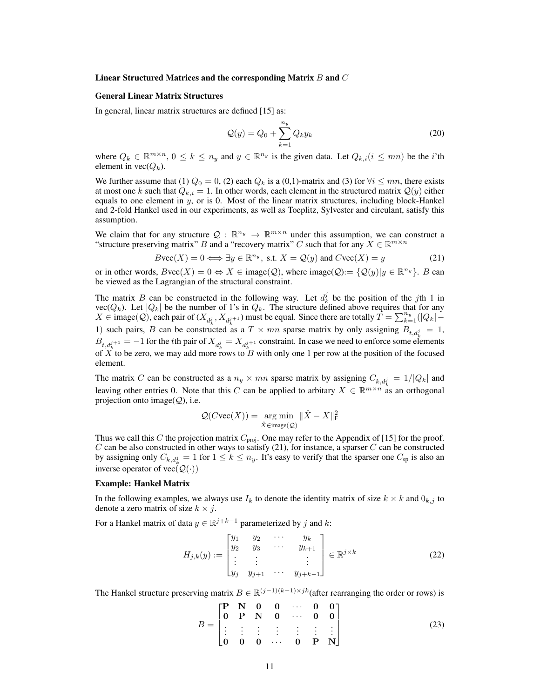## Linear Structured Matrices and the corresponding Matrix  $B$  and  $C$

#### General Linear Matrix Structures

In general, linear matrix structures are defined [\[15\]](#page-8-16) as:

$$
\mathcal{Q}(y) = Q_0 + \sum_{k=1}^{n_y} Q_k y_k \tag{20}
$$

where  $Q_k \in \mathbb{R}^{m \times n}$ ,  $0 \le k \le n_y$  and  $y \in \mathbb{R}^{n_y}$  is the given data. Let  $Q_{k,i}$   $(i \le mn)$  be the *i*'th element in  $\text{vec}(Q_k)$ .

We further assume that (1)  $Q_0 = 0$ , (2) each  $Q_k$  is a (0,1)-matrix and (3) for  $\forall i \leq mn$ , there exists at most one k such that  $Q_{k,i} = 1$ . In other words, each element in the structured matrix  $Q(y)$  either equals to one element in  $y$ , or is 0. Most of the linear matrix structures, including block-Hankel and 2-fold Hankel used in our experiments, as well as Toeplitz, Sylvester and circulant, satisfy this assumption.

We claim that for any structure  $Q : \mathbb{R}^{n_y} \to \mathbb{R}^{m \times n}$  under this assumption, we can construct a "structure preserving matrix" B and a "recovery matrix" C such that for any  $\hat{X} \in \mathbb{R}^{m \times n}$ 

<span id="page-10-0"></span>
$$
B\text{vec}(X) = 0 \Longleftrightarrow \exists y \in \mathbb{R}^{n_y}, \text{ s.t. } X = \mathcal{Q}(y) \text{ and } C\text{vec}(X) = y \tag{21}
$$

or in other words,  $B\text{vec}(X) = 0 \Leftrightarrow X \in \text{image}(\mathcal{Q})$ , where  $\text{image}(\mathcal{Q}) := \{ \mathcal{Q}(y) | y \in \mathbb{R}^{n_y} \}$ . B can be viewed as the Lagrangian of the structural constraint.

The matrix B can be constructed in the following way. Let  $d_k^j$  be the position of the jth 1 in vec( $Q_k$ ). Let  $|Q_k|$  be the number of 1's in  $Q_k$ . The structure defined above requires that for any  $X \in \text{image}(Q)$ , each pair of  $(X_{d_k^j}, X_{d_k^{j+1}})$  must be equal. Since there are totally  $T = \sum_{k=1}^{n_y} (|Q_k| -$ 1) such pairs, B can be constructed as a  $T \times mn$  sparse matrix by only assigning  $B_{t,d_k^j} = 1$ ,  $B_{t,d_k^{j+1}} = -1$  for the tth pair of  $X_{d_k^j} = X_{d_k^{j+1}}$  constraint. In case we need to enforce some elements of  $\overline{X}$  to be zero, we may add more rows to  $\overline{B}$  with only one 1 per row at the position of the focused element.

The matrix C can be constructed as a  $n_y \times mn$  sparse matrix by assigning  $C_{k,d_k^j} = 1/|Q_k|$  and leaving other entries 0. Note that this C can be applied to arbitary  $X \in \mathbb{R}^{m \times n}$  as an orthogonal projection onto image $(Q)$ , i.e.

$$
\mathcal{Q}(C\text{vec}(X)) = \underset{\hat{X} \in \text{image}(\mathcal{Q})}{\arg\min} \ \|\hat{X} - X\|_{\mathsf{F}}^2
$$

Thus we call this C the projection matrix  $C_{\text{proj}}$ . One may refer to the Appendix of [\[15\]](#page-8-16) for the proof.  $C$  can be also constructed in other ways to satisfy [\(21\)](#page-10-0), for instance, a sparser  $C$  can be constructed by assigning only  $C_{k,d_k^1} = 1$  for  $1 \le k \le n_y$ . It's easy to verify that the sparser one  $C_{sp}$  is also an inverse operator of vec $(\mathcal{Q}(\cdot))$ 

#### Example: Hankel Matrix

In the following examples, we always use  $I_k$  to denote the identity matrix of size  $k \times k$  and  $0_{k,j}$  to denote a zero matrix of size  $k \times j$ .

For a Hankel matrix of data  $y \in \mathbb{R}^{j+k-1}$  parameterized by j and k:

$$
H_{j,k}(y) := \begin{bmatrix} y_1 & y_2 & \cdots & y_k \\ y_2 & y_3 & \cdots & y_{k+1} \\ \vdots & \vdots & & \vdots \\ y_j & y_{j+1} & \cdots & y_{j+k-1} \end{bmatrix} \in \mathbb{R}^{j \times k}
$$
 (22)

The Hankel structure preserving matrix  $B \in \mathbb{R}^{(j-1)(k-1) \times jk}$  (after rearranging the order or rows) is

<span id="page-10-1"></span>
$$
B = \begin{bmatrix} P & N & 0 & 0 & \cdots & 0 & 0 \\ 0 & P & N & 0 & \cdots & 0 & 0 \\ \vdots & \vdots & \vdots & \vdots & \vdots & \vdots & \vdots \\ 0 & 0 & 0 & \cdots & 0 & P & N \end{bmatrix}
$$
(23)